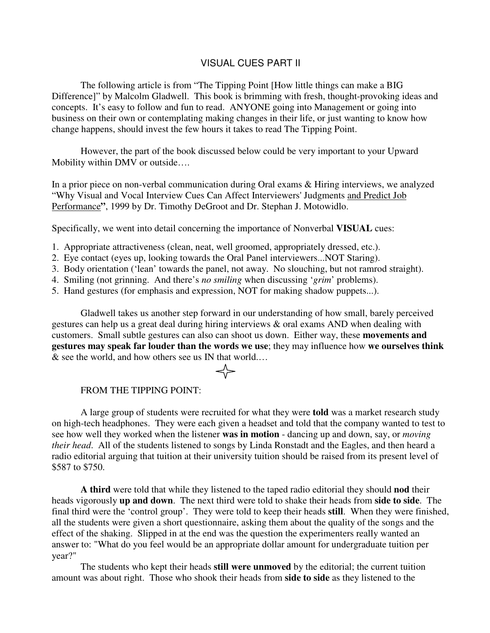## VISUAL CUES PART II

The following article is from "The Tipping Point [How little things can make a BIG Difference]" by Malcolm Gladwell. This book is brimming with fresh, thought-provoking ideas and concepts. It's easy to follow and fun to read. ANYONE going into Management or going into business on their own or contemplating making changes in their life, or just wanting to know how change happens, should invest the few hours it takes to read The Tipping Point.

However, the part of the book discussed below could be very important to your Upward Mobility within DMV or outside….

In a prior piece on non-verbal communication during Oral exams & Hiring interviews, we analyzed "Why Visual and Vocal Interview Cues Can Affect Interviewers' Judgments and Predict Job Performance**"**, 1999 by Dr. Timothy DeGroot and Dr. Stephan J. Motowidlo.

Specifically, we went into detail concerning the importance of Nonverbal **VISUAL** cues:

- 1. Appropriate attractiveness (clean, neat, well groomed, appropriately dressed, etc.).
- 2. Eye contact (eyes up, looking towards the Oral Panel interviewers...NOT Staring).
- 3. Body orientation ('lean' towards the panel, not away. No slouching, but not ramrod straight).
- 4. Smiling (not grinning. And there's *no smiling* when discussing '*grim*' problems).
- 5. Hand gestures (for emphasis and expression, NOT for making shadow puppets...).

Gladwell takes us another step forward in our understanding of how small, barely perceived gestures can help us a great deal during hiring interviews & oral exams AND when dealing with customers. Small subtle gestures can also can shoot us down. Either way, these **movements and gestures may speak far louder than the words we use**; they may influence how **we ourselves think** & see the world, and how others see us IN that world.…

## FROM THE TIPPING POINT:

A large group of students were recruited for what they were **told** was a market research study on high-tech headphones. They were each given a headset and told that the company wanted to test to see how well they worked when the listener **was in motion** - dancing up and down, say, or *moving their head*. All of the students listened to songs by Linda Ronstadt and the Eagles, and then heard a radio editorial arguing that tuition at their university tuition should be raised from its present level of \$587 to \$750.

**A third** were told that while they listened to the taped radio editorial they should **nod** their heads vigorously **up and down**. The next third were told to shake their heads from **side to side**. The final third were the 'control group'. They were told to keep their heads **still**. When they were finished, all the students were given a short questionnaire, asking them about the quality of the songs and the effect of the shaking. Slipped in at the end was the question the experimenters really wanted an answer to: "What do you feel would be an appropriate dollar amount for undergraduate tuition per year?"

The students who kept their heads **still were unmoved** by the editorial; the current tuition amount was about right. Those who shook their heads from **side to side** as they listened to the